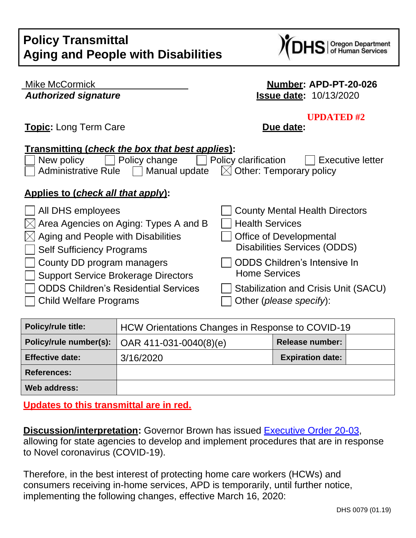## **Policy Transmittal Aging and People with Disabilities**



| <b>Mike McCormick</b>                                                                                                                                        | <b>Number: APD-PT-20-026</b>          |  |  |
|--------------------------------------------------------------------------------------------------------------------------------------------------------------|---------------------------------------|--|--|
| <b>Authorized signature</b>                                                                                                                                  | <b>Issue date: 10/13/2020</b>         |  |  |
| <b>Topic:</b> Long Term Care                                                                                                                                 | <b>UPDATED#2</b><br>Due date:         |  |  |
| <b>Transmitting (check the box that best applies):</b>                                                                                                       |                                       |  |  |
| Policy clarification<br>Policy change<br><b>Executive letter</b><br>New policy<br><b>Administrative Rule</b><br>Manual update $\Box$ Other: Temporary policy |                                       |  |  |
| <u>Applies to (check all that apply):</u>                                                                                                                    |                                       |  |  |
| All DHS employees                                                                                                                                            | <b>County Mental Health Directors</b> |  |  |
| Area Agencies on Aging: Types A and B                                                                                                                        | <b>Health Services</b>                |  |  |
| Aging and People with Disabilities                                                                                                                           | <b>Office of Developmental</b>        |  |  |
| <b>Self Sufficiency Programs</b>                                                                                                                             | Disabilities Services (ODDS)          |  |  |
| County DD program managers                                                                                                                                   | <b>ODDS Children's Intensive In</b>   |  |  |
| <b>Support Service Brokerage Directors</b>                                                                                                                   | <b>Home Services</b>                  |  |  |
| <b>ODDS Children's Residential Services</b>                                                                                                                  | Stabilization and Crisis Unit (SACU)  |  |  |
| <b>Child Welfare Programs</b>                                                                                                                                | Other ( <i>please specify</i> ):      |  |  |

| <b>Policy/rule title:</b> | HCW Orientations Changes in Response to COVID-19 |                         |
|---------------------------|--------------------------------------------------|-------------------------|
| Policy/rule number(s):    | $OAR$ 411-031-0040(8)(e)                         | <b>Release number:</b>  |
| <b>Effective date:</b>    | 3/16/2020                                        | <b>Expiration date:</b> |
| <b>References:</b>        |                                                  |                         |
| Web address:              |                                                  |                         |

**Updates to this transmittal are in red.**

**Discussion/interpretation:** Governor Brown has issued **Executive Order 20-03**, allowing for state agencies to develop and implement procedures that are in response to Novel coronavirus (COVID-19).

Therefore, in the best interest of protecting home care workers (HCWs) and consumers receiving in-home services, APD is temporarily, until further notice, implementing the following changes, effective March 16, 2020: